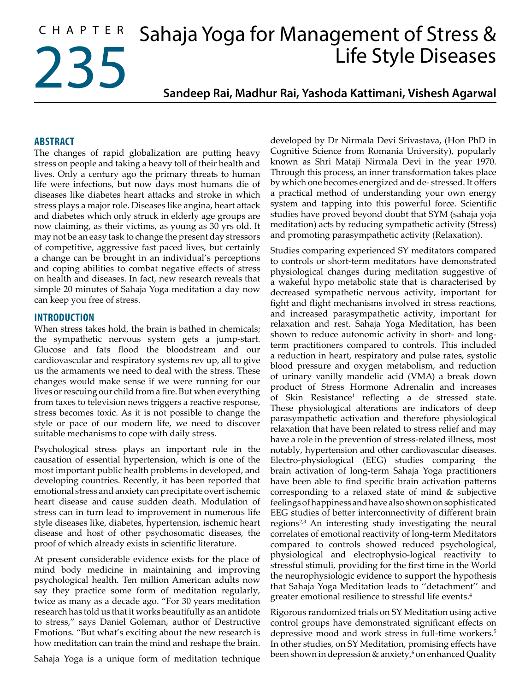# CHAPTER Sahaja Yoga for Management of Stress & 235 Life Style Diseases

**Sandeep Rai, Madhur Rai, Yashoda Kattimani, Vishesh Agarwal**

## **ABSTRACT**

The changes of rapid globalization are putting heavy stress on people and taking a heavy toll of their health and lives. Only a century ago the primary threats to human life were infections, but now days most humans die of diseases like diabetes heart attacks and stroke in which stress plays a major role. Diseases like angina, heart attack and diabetes which only struck in elderly age groups are now claiming, as their victims, as young as 30 yrs old. It may not be an easy task to change the present day stressors of competitive, aggressive fast paced lives, but certainly a change can be brought in an individual's perceptions and coping abilities to combat negative effects of stress on health and diseases. In fact, new research reveals that simple 20 minutes of Sahaja Yoga meditation a day now can keep you free of stress.

#### **INTRODUCTION**

When stress takes hold, the brain is bathed in chemicals; the sympathetic nervous system gets a jump-start. Glucose and fats flood the bloodstream and our cardiovascular and respiratory systems rev up, all to give us the armaments we need to deal with the stress. These changes would make sense if we were running for our lives or rescuing our child from a fire. But when everything from taxes to television news triggers a reactive response, stress becomes toxic. As it is not possible to change the style or pace of our modern life, we need to discover suitable mechanisms to cope with daily stress.

Psychological stress plays an important role in the causation of essential hypertension, which is one of the most important public health problems in developed, and developing countries. Recently, it has been reported that emotional stress and anxiety can precipitate overt ischemic heart disease and cause sudden death. Modulation of stress can in turn lead to improvement in numerous life style diseases like, diabetes, hypertension, ischemic heart disease and host of other psychosomatic diseases, the proof of which already exists in scientific literature.

At present considerable evidence exists for the place of mind body medicine in maintaining and improving psychological health. Ten million American adults now say they practice some form of meditation regularly, twice as many as a decade ago. "For 30 years meditation research has told us that it works beautifully as an antidote to stress," says Daniel Goleman, author of Destructive Emotions. "But what's exciting about the new research is how meditation can train the mind and reshape the brain.

Sahaja Yoga is a unique form of meditation technique

developed by Dr Nirmala Devi Srivastava, (Hon PhD in Cognitive Science from Romania University), popularly known as Shri Mataji Nirmala Devi in the year 1970. Through this process, an inner transformation takes place by which one becomes energized and de- stressed. It offers a practical method of understanding your own energy system and tapping into this powerful force. Scientific studies have proved beyond doubt that SYM (sahaja yoja meditation) acts by reducing sympathetic activity (Stress) and promoting parasympathetic activity (Relaxation).

Studies comparing experienced SY meditators compared to controls or short-term meditators have demonstrated physiological changes during meditation suggestive of a wakeful hypo metabolic state that is characterised by decreased sympathetic nervous activity, important for fight and flight mechanisms involved in stress reactions, and increased parasympathetic activity, important for relaxation and rest. Sahaja Yoga Meditation, has been shown to reduce autonomic activity in short- and longterm practitioners compared to controls. This included a reduction in heart, respiratory and pulse rates, systolic blood pressure and oxygen metabolism, and reduction of urinary vanilly mandelic acid (VMA) a break down product of Stress Hormone Adrenalin and increases of Skin Resistance<sup>1</sup> reflecting a de stressed state. These physiological alterations are indicators of deep parasympathetic activation and therefore physiological relaxation that have been related to stress relief and may have a role in the prevention of stress-related illness, most notably, hypertension and other cardiovascular diseases. Electro-physiological (EEG) studies comparing the brain activation of long-term Sahaja Yoga practitioners have been able to find specific brain activation patterns corresponding to a relaxed state of mind & subjective feelings of happiness and have also shown on sophisticated EEG studies of better interconnectivity of different brain regions<sup>2,3</sup> An interesting study investigating the neural correlates of emotional reactivity of long-term Meditators compared to controls showed reduced psychological, physiological and electrophysio-logical reactivity to stressful stimuli, providing for the first time in the World the neurophysiologic evidence to support the hypothesis that Sahaja Yoga Meditation leads to ''detachment'' and greater emotional resilience to stressful life events.<sup>4</sup>

Rigorous randomized trials on SY Meditation using active control groups have demonstrated significant effects on depressive mood and work stress in full-time workers.<sup>5</sup> In other studies, on SY Meditation, promising effects have been shown in depression & anxiety,<sup>6</sup> on enhanced Quality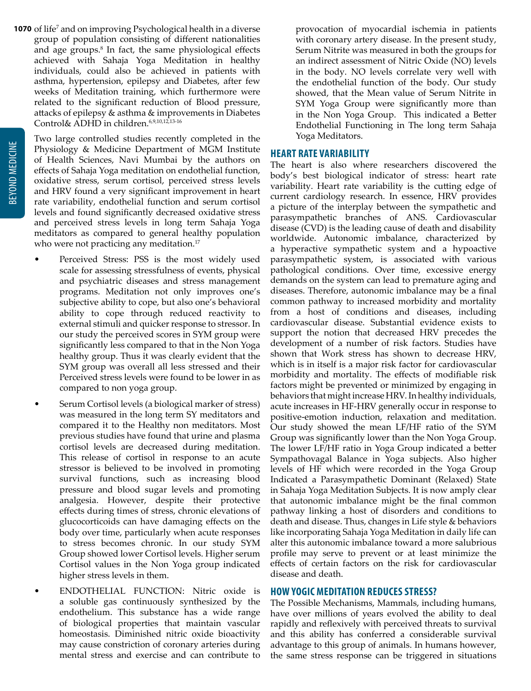**1070** of life<sup>7</sup> and on improving Psychological health in a diverse group of population consisting of different nationalities and age groups.<sup>8</sup> In fact, the same physiological effects achieved with Sahaja Yoga Meditation in healthy individuals, could also be achieved in patients with asthma, hypertension, epilepsy and Diabetes, after few weeks of Meditation training, which furthermore were related to the significant reduction of Blood pressure, attacks of epilepsy & asthma & improvements in Diabetes Control& ADHD in children.6,9,10,12,13-16

Two large controlled studies recently completed in the Physiology & Medicine Department of MGM Institute of Health Sciences, Navi Mumbai by the authors on effects of Sahaja Yoga meditation on endothelial function, oxidative stress, serum cortisol, perceived stress levels and HRV found a very significant improvement in heart rate variability, endothelial function and serum cortisol levels and found significantly decreased oxidative stress and perceived stress levels in long term Sahaja Yoga meditators as compared to general healthy population who were not practicing any meditation.<sup>17</sup>

- Perceived Stress: PSS is the most widely used scale for assessing stressfulness of events, physical and psychiatric diseases and stress management programs. Meditation not only improves one's subjective ability to cope, but also one's behavioral ability to cope through reduced reactivity to external stimuli and quicker response to stressor. In our study the perceived scores in SYM group were significantly less compared to that in the Non Yoga healthy group. Thus it was clearly evident that the SYM group was overall all less stressed and their Perceived stress levels were found to be lower in as compared to non yoga group.
- Serum Cortisol levels (a biological marker of stress) was measured in the long term SY meditators and compared it to the Healthy non meditators. Most previous studies have found that urine and plasma cortisol levels are decreased during meditation. This release of cortisol in response to an acute stressor is believed to be involved in promoting survival functions, such as increasing blood pressure and blood sugar levels and promoting analgesia. However, despite their protective effects during times of stress, chronic elevations of glucocorticoids can have damaging effects on the body over time, particularly when acute responses to stress becomes chronic. In our study SYM Group showed lower Cortisol levels. Higher serum Cortisol values in the Non Yoga group indicated higher stress levels in them.
- ENDOTHELIAL FUNCTION: Nitric oxide is a soluble gas continuously synthesized by the endothelium. This substance has a wide range of biological properties that maintain vascular homeostasis. Diminished nitric oxide bioactivity may cause constriction of coronary arteries during mental stress and exercise and can contribute to

provocation of myocardial ischemia in patients with coronary artery disease. In the present study, Serum Nitrite was measured in both the groups for an indirect assessment of Nitric Oxide (NO) levels in the body. NO levels correlate very well with the endothelial function of the body. Our study showed, that the Mean value of Serum Nitrite in SYM Yoga Group were significantly more than in the Non Yoga Group. This indicated a Better Endothelial Functioning in The long term Sahaja Yoga Meditators.

#### **HEART RATE VARIABILITY**

The heart is also where researchers discovered the body's best biological indicator of stress: heart rate variability. Heart rate variability is the cutting edge of current cardiology research. In essence, HRV provides a picture of the interplay between the sympathetic and parasympathetic branches of ANS. Cardiovascular disease (CVD) is the leading cause of death and disability worldwide. Autonomic imbalance, characterized by a hyperactive sympathetic system and a hypoactive parasympathetic system, is associated with various pathological conditions. Over time, excessive energy demands on the system can lead to premature aging and diseases. Therefore, autonomic imbalance may be a final common pathway to increased morbidity and mortality from a host of conditions and diseases, including cardiovascular disease. Substantial evidence exists to support the notion that decreased HRV precedes the development of a number of risk factors. Studies have shown that Work stress has shown to decrease HRV, which is in itself is a major risk factor for cardiovascular morbidity and mortality. The effects of modifiable risk factors might be prevented or minimized by engaging in behaviors that might increase HRV. In healthy individuals, acute increases in HF-HRV generally occur in response to positive-emotion induction, relaxation and meditation. Our study showed the mean LF/HF ratio of the SYM Group was significantly lower than the Non Yoga Group. The lower LF/HF ratio in Yoga Group indicated a better Sympathovagal Balance in Yoga subjects. Also higher levels of HF which were recorded in the Yoga Group Indicated a Parasympathetic Dominant (Relaxed) State in Sahaja Yoga Meditation Subjects. It is now amply clear that autonomic imbalance might be the final common pathway linking a host of disorders and conditions to death and disease. Thus, changes in Life style & behaviors like incorporating Sahaja Yoga Meditation in daily life can alter this autonomic imbalance toward a more salubrious profile may serve to prevent or at least minimize the effects of certain factors on the risk for cardiovascular disease and death.

#### **HOW YOGIC MEDITATION REDUCES STRESS?**

The Possible Mechanisms, Mammals, including humans, have over millions of years evolved the ability to deal rapidly and reflexively with perceived threats to survival and this ability has conferred a considerable survival advantage to this group of animals. In humans however, the same stress response can be triggered in situations